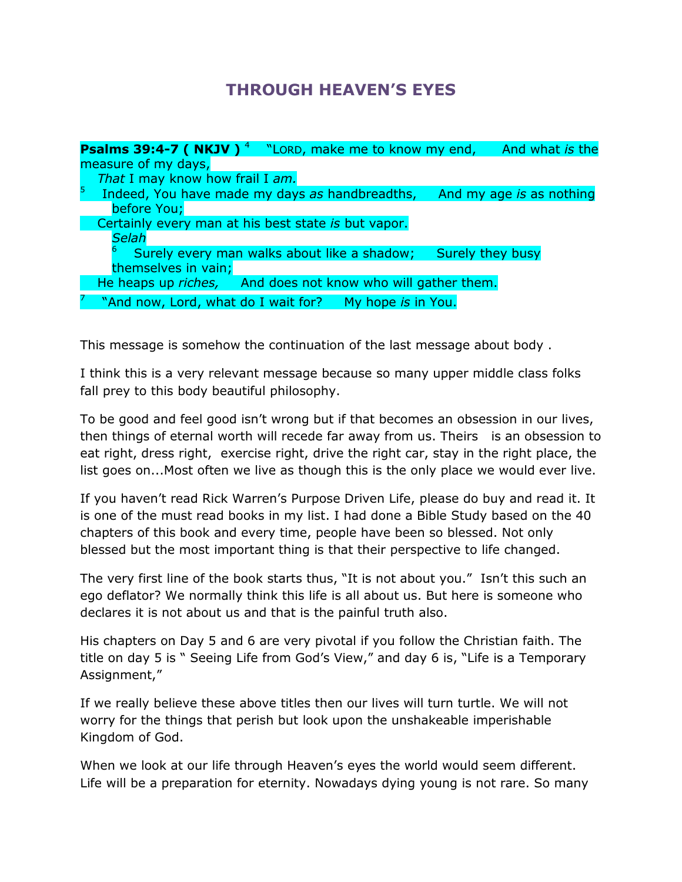## **THROUGH HEAVEN'S EYES**

|                     | <b>Psalms 39:4-7 ( NKJV )</b> $^4$ "LORD, make me to know my end, |                    |  | And what is the          |  |
|---------------------|-------------------------------------------------------------------|--------------------|--|--------------------------|--|
| measure of my days, |                                                                   |                    |  |                          |  |
|                     | That I may know how frail I am.                                   |                    |  |                          |  |
| 5                   | Indeed, You have made my days as handbreadths,                    |                    |  | And my age is as nothing |  |
|                     | before You;                                                       |                    |  |                          |  |
|                     | Certainly every man at his best state is but vapor.               |                    |  |                          |  |
|                     | <b>Selah</b>                                                      |                    |  |                          |  |
|                     | Surely every man walks about like a shadow;                       |                    |  | Surely they busy         |  |
|                     | themselves in vain;                                               |                    |  |                          |  |
|                     | He heaps up riches, And does not know who will gather them.       |                    |  |                          |  |
|                     | "And now, Lord, what do I wait for?                               | My hope is in You. |  |                          |  |

This message is somehow the continuation of the last message about body .

I think this is a very relevant message because so many upper middle class folks fall prey to this body beautiful philosophy.

To be good and feel good isn't wrong but if that becomes an obsession in our lives, then things of eternal worth will recede far away from us. Theirs is an obsession to eat right, dress right, exercise right, drive the right car, stay in the right place, the list goes on...Most often we live as though this is the only place we would ever live.

If you haven't read Rick Warren's Purpose Driven Life, please do buy and read it. It is one of the must read books in my list. I had done a Bible Study based on the 40 chapters of this book and every time, people have been so blessed. Not only blessed but the most important thing is that their perspective to life changed.

The very first line of the book starts thus, "It is not about you." Isn't this such an ego deflator? We normally think this life is all about us. But here is someone who declares it is not about us and that is the painful truth also.

His chapters on Day 5 and 6 are very pivotal if you follow the Christian faith. The title on day 5 is " Seeing Life from God's View," and day 6 is, "Life is a Temporary Assignment,"

If we really believe these above titles then our lives will turn turtle. We will not worry for the things that perish but look upon the unshakeable imperishable Kingdom of God.

When we look at our life through Heaven's eyes the world would seem different. Life will be a preparation for eternity. Nowadays dying young is not rare. So many